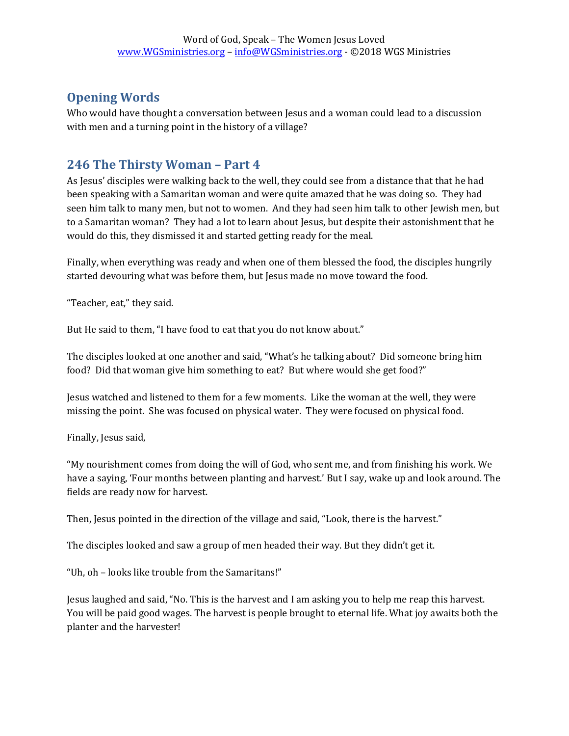# **Opening Words**

Who would have thought a conversation between Jesus and a woman could lead to a discussion with men and a turning point in the history of a village?

# **246 The Thirsty Woman – Part 4**

As Jesus' disciples were walking back to the well, they could see from a distance that that he had been speaking with a Samaritan woman and were quite amazed that he was doing so. They had seen him talk to many men, but not to women. And they had seen him talk to other Jewish men, but to a Samaritan woman? They had a lot to learn about Jesus, but despite their astonishment that he would do this, they dismissed it and started getting ready for the meal.

Finally, when everything was ready and when one of them blessed the food, the disciples hungrily started devouring what was before them, but Jesus made no move toward the food.

"Teacher, eat," they said.

But He said to them, "I have food to eat that you do not know about."

The disciples looked at one another and said, "What's he talking about? Did someone bring him food? Did that woman give him something to eat? But where would she get food?"

Jesus watched and listened to them for a few moments. Like the woman at the well, they were missing the point. She was focused on physical water. They were focused on physical food.

Finally, Jesus said,

"My nourishment comes from doing the will of God, who sent me, and from finishing his work. We have a saying, 'Four months between planting and harvest.' But I say, wake up and look around. The fields are ready now for harvest.

Then, Jesus pointed in the direction of the village and said, "Look, there is the harvest."

The disciples looked and saw a group of men headed their way. But they didn't get it.

"Uh, oh – looks like trouble from the Samaritans!"

Jesus laughed and said, "No. This is the harvest and I am asking you to help me reap this harvest. You will be paid good wages. The harvest is people brought to eternal life. What joy awaits both the planter and the harvester!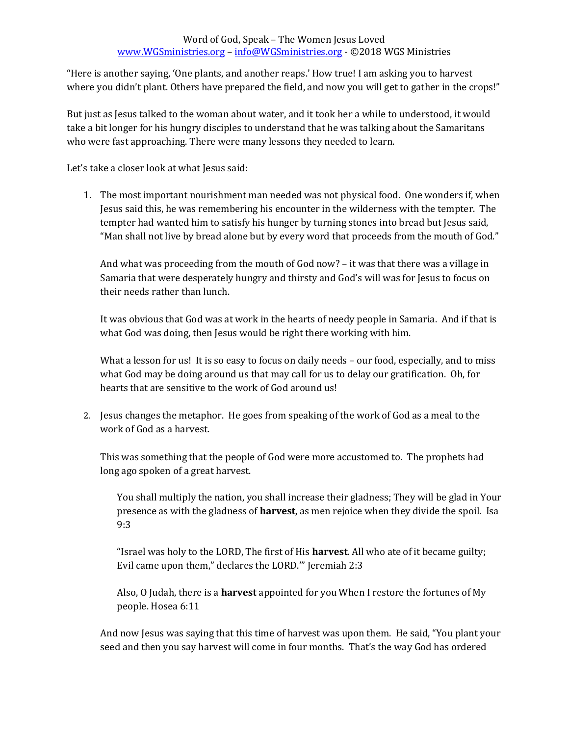### Word of God, Speak – The Women Jesus Loved [www.WGSministries.org](http://www.wgsministries.org/) – [info@WGSministries.org](mailto:info@WGSministries.org) - ©2018 WGS Ministries

"Here is another saying, 'One plants, and another reaps.' How true! I am asking you to harvest where you didn't plant. Others have prepared the field, and now you will get to gather in the crops!"

But just as Jesus talked to the woman about water, and it took her a while to understood, it would take a bit longer for his hungry disciples to understand that he was talking about the Samaritans who were fast approaching. There were many lessons they needed to learn.

Let's take a closer look at what Jesus said:

1. The most important nourishment man needed was not physical food. One wonders if, when Jesus said this, he was remembering his encounter in the wilderness with the tempter. The tempter had wanted him to satisfy his hunger by turning stones into bread but Jesus said, "Man shall not live by bread alone but by every word that proceeds from the mouth of God."

And what was proceeding from the mouth of God now? – it was that there was a village in Samaria that were desperately hungry and thirsty and God's will was for Jesus to focus on their needs rather than lunch.

It was obvious that God was at work in the hearts of needy people in Samaria. And if that is what God was doing, then Jesus would be right there working with him.

What a lesson for us! It is so easy to focus on daily needs - our food, especially, and to miss what God may be doing around us that may call for us to delay our gratification. Oh, for hearts that are sensitive to the work of God around us!

2. Jesus changes the metaphor. He goes from speaking of the work of God as a meal to the work of God as a harvest.

This was something that the people of God were more accustomed to. The prophets had long ago spoken of a great harvest.

You shall multiply the nation, you shall increase their gladness; They will be glad in Your presence as with the gladness of **harvest**, as men rejoice when they divide the spoil. Isa 9:3

"Israel was holy to the LORD, The first of His **harvest**. All who ate of it became guilty; Evil came upon them," declares the LORD.'" Jeremiah 2:3

Also, O Judah, there is a **harvest** appointed for you When I restore the fortunes of My people. Hosea 6:11

And now Jesus was saying that this time of harvest was upon them. He said, "You plant your seed and then you say harvest will come in four months. That's the way God has ordered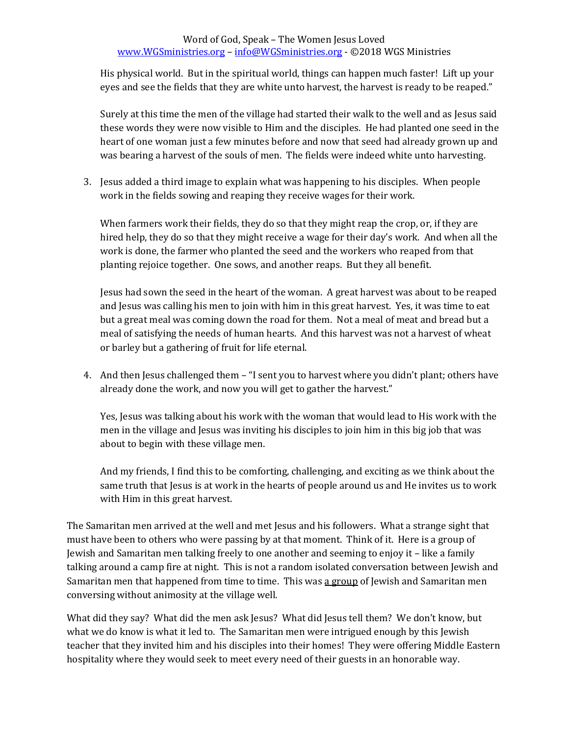### Word of God, Speak – The Women Jesus Loved [www.WGSministries.org](http://www.wgsministries.org/) – [info@WGSministries.org](mailto:info@WGSministries.org) - ©2018 WGS Ministries

His physical world. But in the spiritual world, things can happen much faster! Lift up your eyes and see the fields that they are white unto harvest, the harvest is ready to be reaped."

Surely at this time the men of the village had started their walk to the well and as Jesus said these words they were now visible to Him and the disciples. He had planted one seed in the heart of one woman just a few minutes before and now that seed had already grown up and was bearing a harvest of the souls of men. The fields were indeed white unto harvesting.

3. Jesus added a third image to explain what was happening to his disciples. When people work in the fields sowing and reaping they receive wages for their work.

When farmers work their fields, they do so that they might reap the crop, or, if they are hired help, they do so that they might receive a wage for their day's work. And when all the work is done, the farmer who planted the seed and the workers who reaped from that planting rejoice together. One sows, and another reaps. But they all benefit.

Jesus had sown the seed in the heart of the woman. A great harvest was about to be reaped and Jesus was calling his men to join with him in this great harvest. Yes, it was time to eat but a great meal was coming down the road for them. Not a meal of meat and bread but a meal of satisfying the needs of human hearts. And this harvest was not a harvest of wheat or barley but a gathering of fruit for life eternal.

4. And then Jesus challenged them – "I sent you to harvest where you didn't plant; others have already done the work, and now you will get to gather the harvest."

Yes, Jesus was talking about his work with the woman that would lead to His work with the men in the village and Jesus was inviting his disciples to join him in this big job that was about to begin with these village men.

And my friends, I find this to be comforting, challenging, and exciting as we think about the same truth that Jesus is at work in the hearts of people around us and He invites us to work with Him in this great harvest.

The Samaritan men arrived at the well and met Jesus and his followers. What a strange sight that must have been to others who were passing by at that moment. Think of it. Here is a group of Jewish and Samaritan men talking freely to one another and seeming to enjoy it – like a family talking around a camp fire at night. This is not a random isolated conversation between Jewish and Samaritan men that happened from time to time. This was a group of Jewish and Samaritan men conversing without animosity at the village well.

What did they say? What did the men ask Jesus? What did Jesus tell them? We don't know, but what we do know is what it led to. The Samaritan men were intrigued enough by this Jewish teacher that they invited him and his disciples into their homes! They were offering Middle Eastern hospitality where they would seek to meet every need of their guests in an honorable way.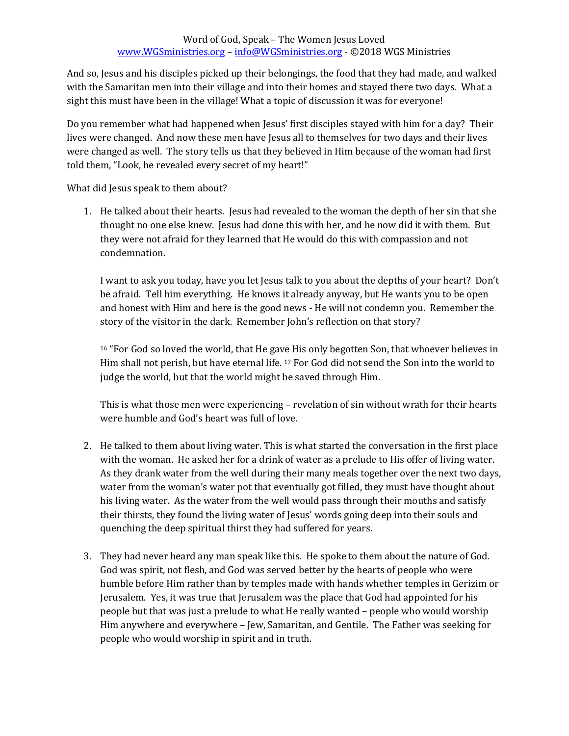### Word of God, Speak – The Women Jesus Loved [www.WGSministries.org](http://www.wgsministries.org/) – [info@WGSministries.org](mailto:info@WGSministries.org) - ©2018 WGS Ministries

And so, Jesus and his disciples picked up their belongings, the food that they had made, and walked with the Samaritan men into their village and into their homes and stayed there two days. What a sight this must have been in the village! What a topic of discussion it was for everyone!

Do you remember what had happened when Jesus' first disciples stayed with him for a day? Their lives were changed. And now these men have Jesus all to themselves for two days and their lives were changed as well. The story tells us that they believed in Him because of the woman had first told them, "Look, he revealed every secret of my heart!"

What did Jesus speak to them about?

1. He talked about their hearts. Jesus had revealed to the woman the depth of her sin that she thought no one else knew. Jesus had done this with her, and he now did it with them. But they were not afraid for they learned that He would do this with compassion and not condemnation.

I want to ask you today, have you let Jesus talk to you about the depths of your heart? Don't be afraid. Tell him everything. He knows it already anyway, but He wants you to be open and honest with Him and here is the good news - He will not condemn you. Remember the story of the visitor in the dark. Remember John's reflection on that story?

<sup>16</sup> "For God so loved the world, that He gave His only begotten Son, that whoever believes in Him shall not perish, but have eternal life. <sup>17</sup> For God did not send the Son into the world to judge the world, but that the world might be saved through Him.

This is what those men were experiencing – revelation of sin without wrath for their hearts were humble and God's heart was full of love.

- 2. He talked to them about living water. This is what started the conversation in the first place with the woman. He asked her for a drink of water as a prelude to His offer of living water. As they drank water from the well during their many meals together over the next two days, water from the woman's water pot that eventually got filled, they must have thought about his living water. As the water from the well would pass through their mouths and satisfy their thirsts, they found the living water of Jesus' words going deep into their souls and quenching the deep spiritual thirst they had suffered for years.
- 3. They had never heard any man speak like this. He spoke to them about the nature of God. God was spirit, not flesh, and God was served better by the hearts of people who were humble before Him rather than by temples made with hands whether temples in Gerizim or Jerusalem. Yes, it was true that Jerusalem was the place that God had appointed for his people but that was just a prelude to what He really wanted – people who would worship Him anywhere and everywhere – Jew, Samaritan, and Gentile. The Father was seeking for people who would worship in spirit and in truth.